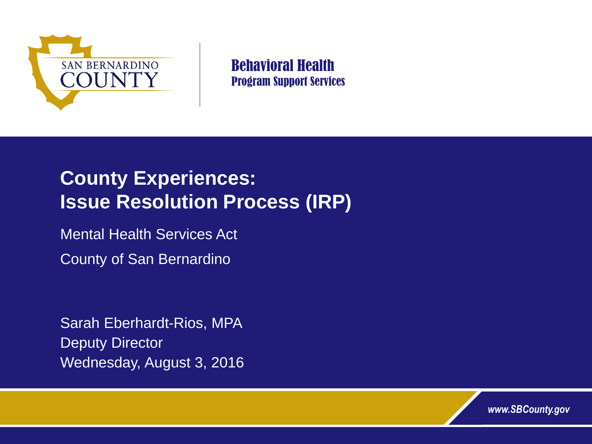

Behavioral Health Program Support Services

# **County Experiences: Issue Resolution Process (IRP)**

Mental Health Services Act

County of San Bernardino

Sarah Eberhardt-Rios, MPA Deputy Director Wednesday, August 3, 2016

*www.SBCounty.gov*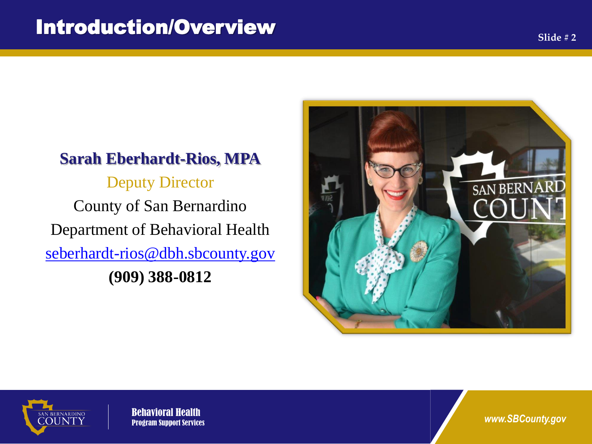#### **Sarah Eberhardt-Rios, MPA**

Deputy Director County of San Bernardino Department of Behavioral Health [seberhardt-rios@dbh.sbcounty.gov](mailto:seberhardt-rios@dbh.sbcounty.gov) **(909) 388-0812**





Behavioral Health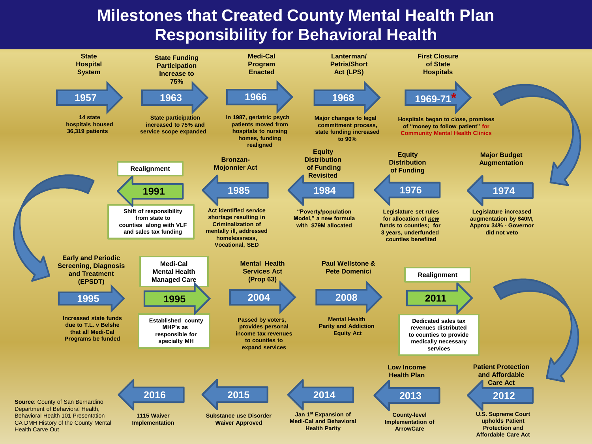### **Milestones that Created County Mental Health Plan Responsibility for Behavioral Health**

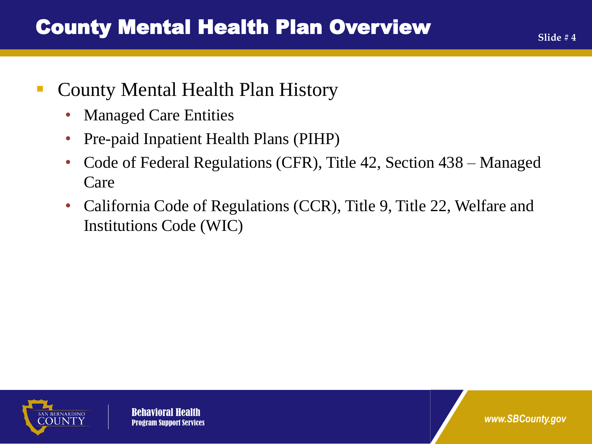## ■ County Mental Health Plan History

- Managed Care Entities
- Pre-paid Inpatient Health Plans (PIHP)
- Code of Federal Regulations (CFR), Title 42, Section 438 Managed Care
- California Code of Regulations (CCR), Title 9, Title 22, Welfare and Institutions Code (WIC)



Behavioral Health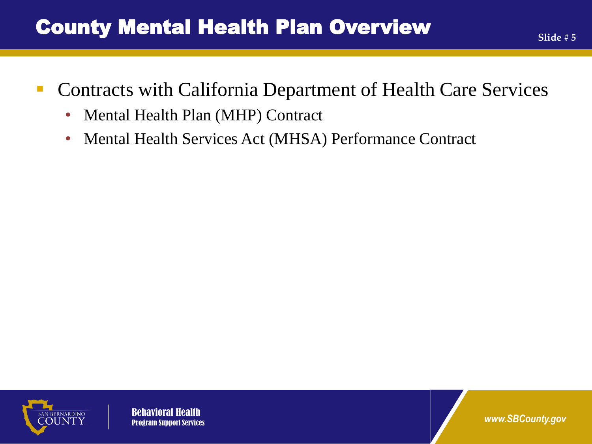## County Mental Health Plan Overview

- Contracts with California Department of Health Care Services
	- Mental Health Plan (MHP) Contract
	- Mental Health Services Act (MHSA) Performance Contract



**Behaviora**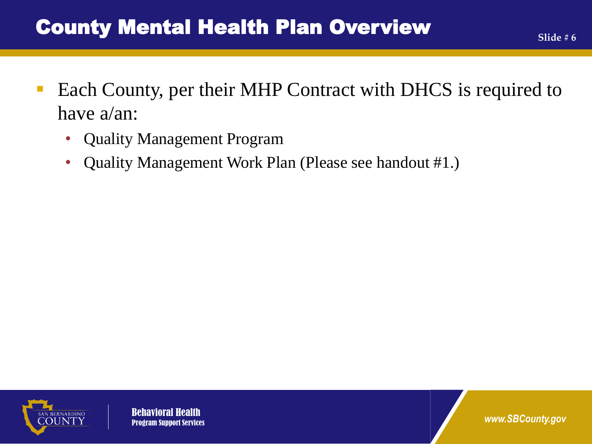- Each County, per their MHP Contract with DHCS is required to have a/an:
	- Quality Management Program
	- Quality Management Work Plan (Please see handout #1.)



**Behavioral**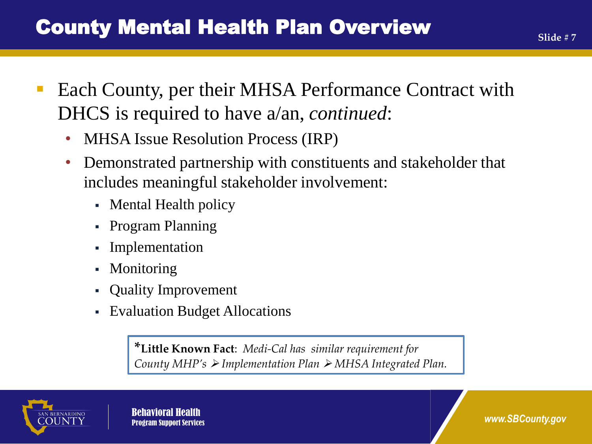- Each County, per their MHSA Performance Contract with DHCS is required to have a/an, *continued*:
	- MHSA Issue Resolution Process (IRP)
	- Demonstrated partnership with constituents and stakeholder that includes meaningful stakeholder involvement:
		- Mental Health policy
		- Program Planning
		- Implementation
		- Monitoring
		- Quality Improvement
		- Evaluation Budget Allocations

**\*Little Known Fact**: *Medi-Cal has similar requirement for County MHP's Implementation Plan MHSA Integrated Plan.* 

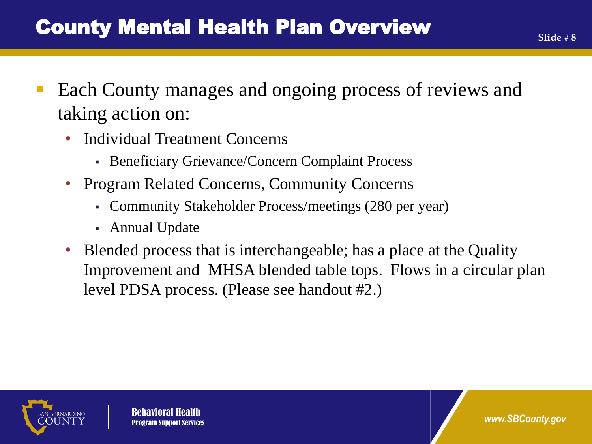- Each County manages and ongoing process of reviews and taking action on:
	- Individual Treatment Concerns
		- Beneficiary Grievance/Concern Complaint Process
	- Program Related Concerns, Community Concerns
		- Community Stakeholder Process/meetings (280 per year)
		- Annual Update
	- Blended process that is interchangeable; has a place at the Quality Improvement and MHSA blended table tops. Flows in a circular plan level PDSA process. (Please see handout #2.)



Behavioral Health